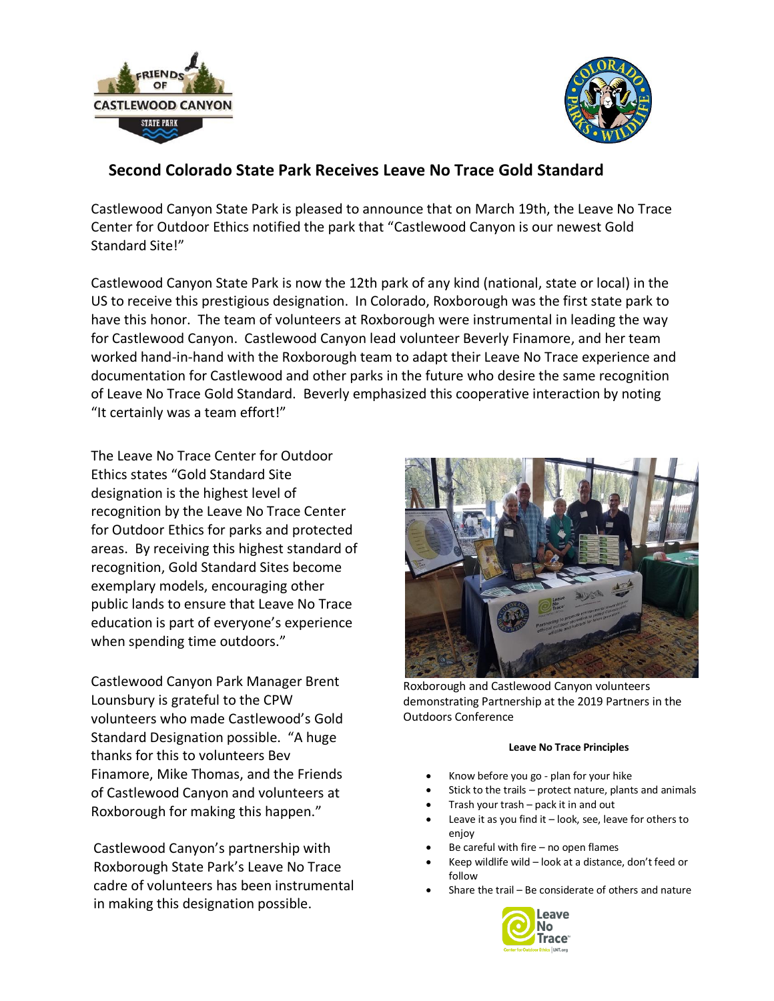



## **Second Colorado State Park Receives Leave No Trace Gold Standard**

Castlewood Canyon State Park is pleased to announce that on March 19th, the Leave No Trace Center for Outdoor Ethics notified the park that "Castlewood Canyon is our newest Gold Standard Site!"

Castlewood Canyon State Park is now the 12th park of any kind (national, state or local) in the US to receive this prestigious designation. In Colorado, Roxborough was the first state park to have this honor. The team of volunteers at Roxborough were instrumental in leading the way for Castlewood Canyon. Castlewood Canyon lead volunteer Beverly Finamore, and her team worked hand-in-hand with the Roxborough team to adapt their Leave No Trace experience and documentation for Castlewood and other parks in the future who desire the same recognition of Leave No Trace Gold Standard. Beverly emphasized this cooperative interaction by noting "It certainly was a team effort!"

The Leave No Trace Center for Outdoor Ethics states "Gold Standard Site designation is the highest level of recognition by the Leave No Trace Center for Outdoor Ethics for parks and protected areas. By receiving this highest standard of recognition, Gold Standard Sites become exemplary models, encouraging other public lands to ensure that Leave No Trace education is part of everyone's experience when spending time outdoors."

Castlewood Canyon Park Manager Brent Lounsbury is grateful to the CPW volunteers who made Castlewood's Gold Standard Designation possible. "A huge thanks for this to volunteers Bev Finamore, Mike Thomas, and the Friends of Castlewood Canyon and volunteers at Roxborough for making this happen."

Castlewood Canyon's partnership with Roxborough State Park's Leave No Trace cadre of volunteers has been instrumental in making this designation possible.



Roxborough and Castlewood Canyon volunteers demonstrating Partnership at the 2019 Partners in the Outdoors Conference

## **Leave No Trace Principles**

- Know before you go plan for your hike
- Stick to the trails protect nature, plants and animals
- Trash your trash pack it in and out
- Leave it as you find it  $-$  look, see, leave for others to enjoy
- Be careful with fire  $-$  no open flames
- Keep wildlife wild look at a distance, don't feed or follow
- Share the trail Be considerate of others and nature